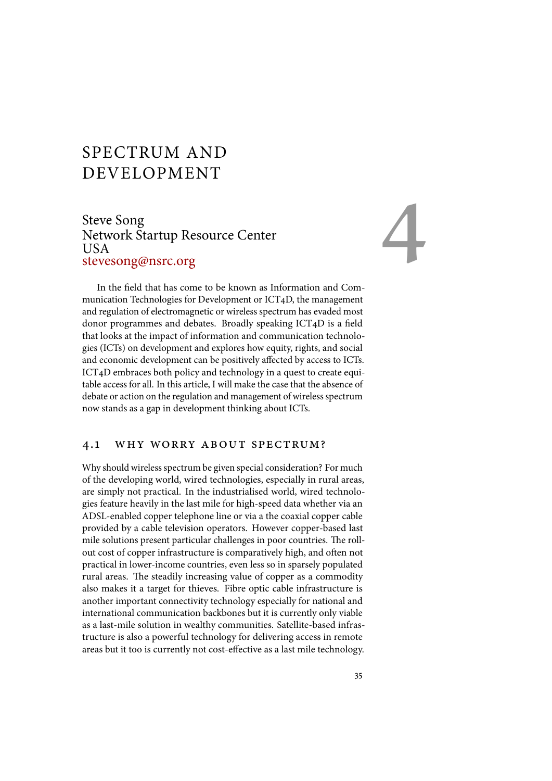# SPECTRUM AND DEVELOPMENT

### Steve Song Network Startup Resource Center USA stevesong@nsrc.org



In the field that has come to be known as Information and Communication Technologies for Development or ICT4D, the management and regulation of electromagnetic or wireless spectrum has evaded most donor programmes and debates. Broadly speaking ICT4D is a field that looks at the impact of information and communication technologies (ICTs) on development and explores how equity, rights, and social and economic development can be positively affected by access to ICTs. ICT4D embraces both policy and technology in a quest to create equitable access for all. In this article, I will make the case that the absence of debate or action on the regulation and management of wireless spectrum now stands as a gap in development thinking about ICTs.

### 4.1 why worry about spectrum?

Why should wireless spectrum be given special consideration? For much of the developing world, wired technologies, especially in rural areas, are simply not practical. In the industrialised world, wired technologies feature heavily in the last mile for high-speed data whether via an ADSL-enabled copper telephone line or via a the coaxial copper cable provided by a cable television operators. However copper-based last mile solutions present particular challenges in poor countries. The rollout cost of copper infrastructure is comparatively high, and often not practical in lower-income countries, even less so in sparsely populated rural areas. The steadily increasing value of copper as a commodity also makes it a target for thieves. Fibre optic cable infrastructure is another important connectivity technology especially for national and international communication backbones but it is currently only viable as a last-mile solution in wealthy communities. Satellite-based infrastructure is also a powerful technology for delivering access in remote areas but it too is currently not cost-effective as a last mile technology.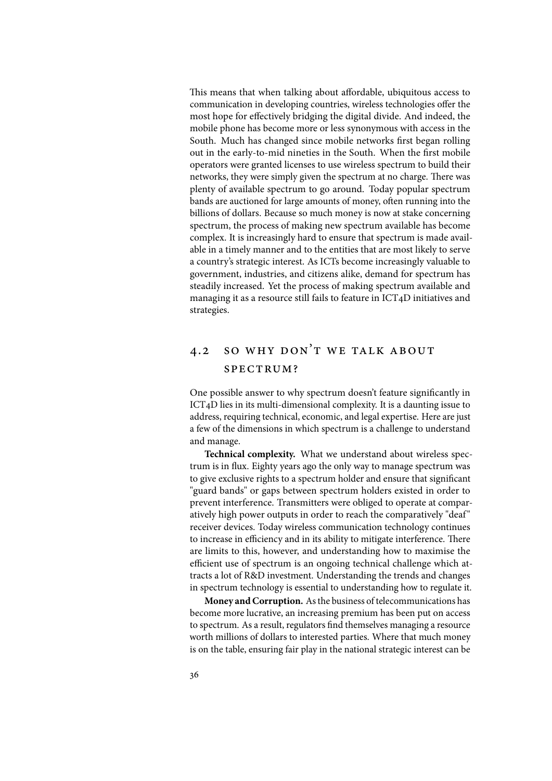This means that when talking about affordable, ubiquitous access to communication in developing countries, wireless technologies offer the most hope for effectively bridging the digital divide. And indeed, the mobile phone has become more or less synonymous with access in the South. Much has changed since mobile networks first began rolling out in the early-to-mid nineties in the South. When the first mobile operators were granted licenses to use wireless spectrum to build their networks, they were simply given the spectrum at no charge. There was plenty of available spectrum to go around. Today popular spectrum bands are auctioned for large amounts of money, often running into the billions of dollars. Because so much money is now at stake concerning spectrum, the process of making new spectrum available has become complex. It is increasingly hard to ensure that spectrum is made available in a timely manner and to the entities that are most likely to serve a country's strategic interest. As ICTs become increasingly valuable to government, industries, and citizens alike, demand for spectrum has steadily increased. Yet the process of making spectrum available and managing it as a resource still fails to feature in ICT4D initiatives and strategies.

# 4.2 so why don't we talk about spectrum?

One possible answer to why spectrum doesn't feature significantly in ICT4D lies in its multi-dimensional complexity. It is a daunting issue to address, requiring technical, economic, and legal expertise. Here are just a few of the dimensions in which spectrum is a challenge to understand and manage.

**Technical complexity.** What we understand about wireless spectrum is in flux. Eighty years ago the only way to manage spectrum was to give exclusive rights to a spectrum holder and ensure that significant "guard bands" or gaps between spectrum holders existed in order to prevent interference. Transmitters were obliged to operate at comparatively high power outputs in order to reach the comparatively "deaf " receiver devices. Today wireless communication technology continues to increase in efficiency and in its ability to mitigate interference. There are limits to this, however, and understanding how to maximise the efficient use of spectrum is an ongoing technical challenge which attracts a lot of R&D investment. Understanding the trends and changes in spectrum technology is essential to understanding how to regulate it.

**Money and Corruption.** As the business of telecommunications has become more lucrative, an increasing premium has been put on access to spectrum. As a result, regulators find themselves managing a resource worth millions of dollars to interested parties. Where that much money is on the table, ensuring fair play in the national strategic interest can be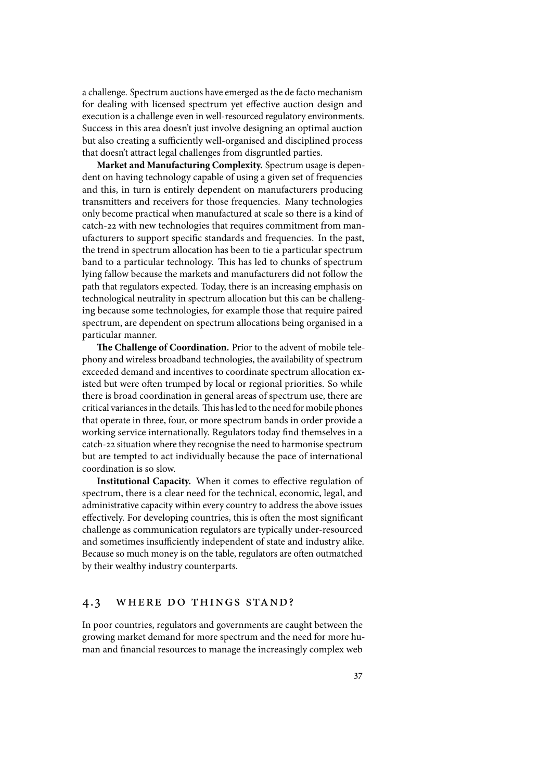a challenge. Spectrum auctions have emerged as the de facto mechanism for dealing with licensed spectrum yet effective auction design and execution is a challenge even in well-resourced regulatory environments. Success in this area doesn't just involve designing an optimal auction but also creating a sufficiently well-organised and disciplined process that doesn't attract legal challenges from disgruntled parties.

**Market and Manufacturing Complexity.** Spectrum usage is dependent on having technology capable of using a given set of frequencies and this, in turn is entirely dependent on manufacturers producing transmitters and receivers for those frequencies. Many technologies only become practical when manufactured at scale so there is a kind of catch-22 with new technologies that requires commitment from manufacturers to support specific standards and frequencies. In the past, the trend in spectrum allocation has been to tie a particular spectrum band to a particular technology. This has led to chunks of spectrum lying fallow because the markets and manufacturers did not follow the path that regulators expected. Today, there is an increasing emphasis on technological neutrality in spectrum allocation but this can be challenging because some technologies, for example those that require paired spectrum, are dependent on spectrum allocations being organised in a particular manner.

**!e Challenge of Coordination.** Prior to the advent of mobile telephony and wireless broadband technologies, the availability of spectrum exceeded demand and incentives to coordinate spectrum allocation existed but were often trumped by local or regional priorities. So while there is broad coordination in general areas of spectrum use, there are critical variances in the details. This has led to the need for mobile phones that operate in three, four, or more spectrum bands in order provide a working service internationally. Regulators today find themselves in a catch-22 situation where they recognise the need to harmonise spectrum but are tempted to act individually because the pace of international coordination is so slow.

**Institutional Capacity.** When it comes to effective regulation of spectrum, there is a clear need for the technical, economic, legal, and administrative capacity within every country to address the above issues effectively. For developing countries, this is often the most significant challenge as communication regulators are typically under-resourced and sometimes insufficiently independent of state and industry alike. Because so much money is on the table, regulators are often outmatched by their wealthy industry counterparts.

### 4.3 where do things stand?

In poor countries, regulators and governments are caught between the growing market demand for more spectrum and the need for more human and financial resources to manage the increasingly complex web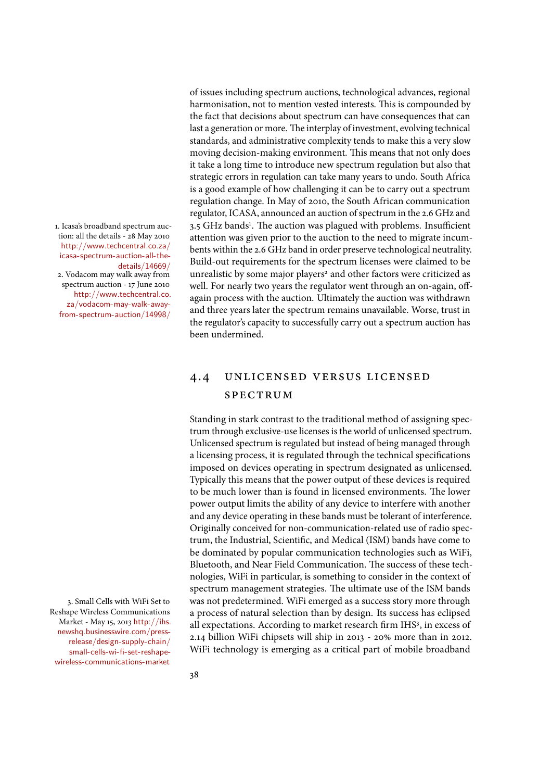1. Icasa's broadband spectrum auction: all the details - 28 May 2010 http://www.techcentral.co.za/ icasa-spectrum-auction-all-thedetails/14669/<br>2. Vodacom may walk away from

spectrum auction - 17 June 2010 http://www.techcentral.co. za/vodacom-may-walk-awayfrom-spectrum-auction/14998/

3. Small Cells with WiFi Set to Reshape Wireless Communications Market - May 15, 2013 http://ihs. newshq.businesswire.com/pressrelease/design-supply-chain/ small-cells-wi-fi-set-reshapewireless-communications-market

of issues including spectrum auctions, technological advances, regional harmonisation, not to mention vested interests. This is compounded by the fact that decisions about spectrum can have consequences that can last a generation or more. The interplay of investment, evolving technical standards, and administrative complexity tends to make this a very slow moving decision-making environment. This means that not only does it take a long time to introduce new spectrum regulation but also that strategic errors in regulation can take many years to undo. South Africa is a good example of how challenging it can be to carry out a spectrum regulation change. In May of 2010, the South African communication regulator, ICASA, announced an auction of spectrum in the 2.6 GHz and 3.5 GHz bands<sup>1</sup>. The auction was plagued with problems. Insufficient attention was given prior to the auction to the need to migrate incumbents within the 2.6 GHz band in order preserve technological neutrality. Build-out requirements for the spectrum licenses were claimed to be 2. Vodacom may walk away from unrealistic by some major players<sup>2</sup> and other factors were criticized as well. For nearly two years the regulator went through an on-again, offagain process with the auction. Ultimately the auction was withdrawn and three years later the spectrum remains unavailable. Worse, trust in the regulator's capacity to successfully carry out a spectrum auction has been undermined.

### 4.4 unlicensed versus licensed **SPECTRUM**

Standing in stark contrast to the traditional method of assigning spectrum through exclusive-use licenses is the world of unlicensed spectrum. Unlicensed spectrum is regulated but instead of being managed through a licensing process, it is regulated through the technical specifications imposed on devices operating in spectrum designated as unlicensed. Typically this means that the power output of these devices is required to be much lower than is found in licensed environments. The lower power output limits the ability of any device to interfere with another and any device operating in these bands must be tolerant of interference. Originally conceived for non-communication-related use of radio spectrum, the Industrial, Scientific, and Medical (ISM) bands have come to be dominated by popular communication technologies such as WiFi, Bluetooth, and Near Field Communication. The success of these technologies, WiFi in particular, is something to consider in the context of spectrum management strategies. The ultimate use of the ISM bands was not predetermined. WiFi emerged as a success story more through a process of natural selection than by design. Its success has eclipsed all expectations. According to market research firm IHS<sup>3</sup>, in excess of 2.14 billion WiFi chipsets will ship in 2013 - 20% more than in 2012. WiFi technology is emerging as a critical part of mobile broadband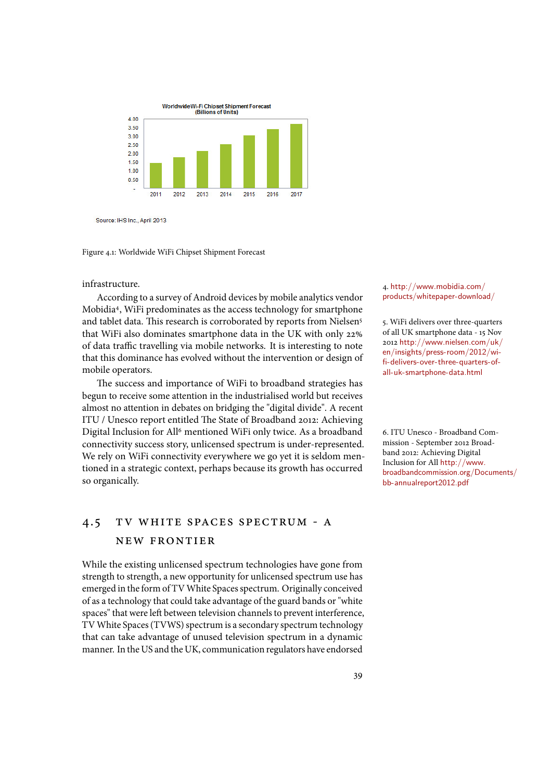

Source: IHS Inc., April 2013

Figure 4.1: Worldwide WiFi Chipset Shipment Forecast

#### infrastructure.

According to a survey of Android devices by mobile analytics vendor Mobidia<sup>4</sup> , WiFi predominates as the access technology for smartphone and tablet data. This research is corroborated by reports from Nielsen<sup>5</sup> 5. WiFi delivers over three-quarters that WiFi also dominates smartphone data in the UK with only 22% of data traffic travelling via mobile networks. It is interesting to note that this dominance has evolved without the intervention or design of mobile operators.

The success and importance of WiFi to broadband strategies has begun to receive some attention in the industrialised world but receives almost no attention in debates on bridging the "digital divide". A recent ITU / Unesco report entitled The State of Broadband 2012: Achieving Digital Inclusion for All<sup>6</sup> mentioned WiFi only twice. As a broadband and The Unesco - Broadband Comconnectivity success story, unlicensed spectrum is under-represented. We rely on WiFi connectivity everywhere we go yet it is seldom mentioned in a strategic context, perhaps because its growth has occurred so organically.

## 4.5 tv white spaces spectrum - a new frontier

While the existing unlicensed spectrum technologies have gone from strength to strength, a new opportunity for unlicensed spectrum use has emerged in the form of TV White Spaces spectrum. Originally conceived of as a technology that could take advantage of the guard bands or "white spaces" that were left between television channels to prevent interference, TV White Spaces (TVWS) spectrum is a secondary spectrum technology that can take advantage of unused television spectrum in a dynamic manner. In the US and the UK, communication regulators have endorsed

#### 4. http://www.mobidia.com/ products/whitepaper-download/

of all UK smartphone data - 15 Nov 2012 http://www.nielsen.com/uk/ en/insights/press-room/2012/wifi-delivers-over-three-quarters-ofall-uk-smartphone-data.html

mission - September 2012 Broadband 2012: Achieving Digital Inclusion for All http://www. broadbandcommission.org/Documents/ bb-annualreport2012.pdf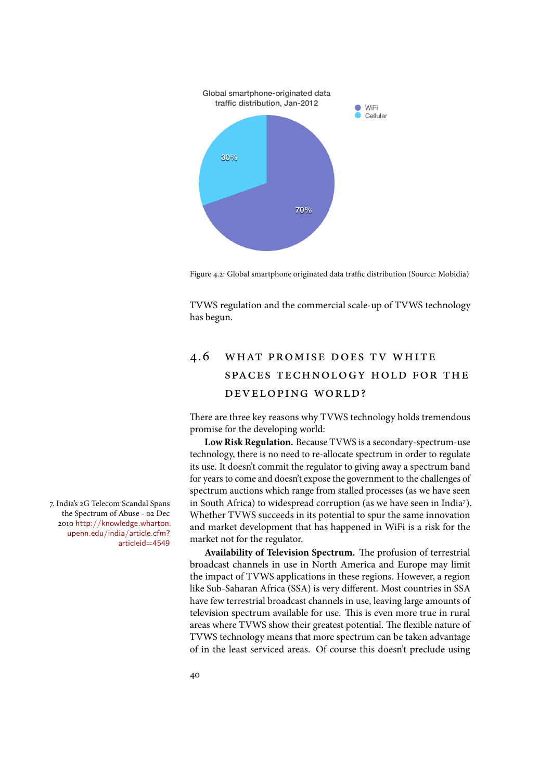

Figure 4.2: Global smartphone originated data traffic distribution (Source: Mobidia)

TVWS regulation and the commercial scale-up of TVWS technology has begun.

# 4.6 what promise does tv white spaces technology hold for the developing world?

There are three key reasons why TVWS technology holds tremendous promise for the developing world:

**Low Risk Regulation.** Because TVWS is a secondary-spectrum-use technology, there is no need to re-allocate spectrum in order to regulate its use. It doesn't commit the regulator to giving away a spectrum band for years to come and doesn't expose the government to the challenges of spectrum auctions which range from stalled processes (as we have seen 7. India's 2G Telecom Scandal Spans in South Africa) to widespread corruption (as we have seen in India<sup>7</sup>). Whether TVWS succeeds in its potential to spur the same innovation and market development that has happened in WiFi is a risk for the market not for the regulator.

> Availability of Television Spectrum. The profusion of terrestrial broadcast channels in use in North America and Europe may limit the impact of TVWS applications in these regions. However, a region like Sub-Saharan Africa (SSA) is very different. Most countries in SSA have few terrestrial broadcast channels in use, leaving large amounts of television spectrum available for use. This is even more true in rural areas where TVWS show their greatest potential. The flexible nature of TVWS technology means that more spectrum can be taken advantage of in the least serviced areas. Of course this doesn't preclude using

the Spectrum of Abuse - 02 Dec 2010 http://knowledge.wharton. upenn.edu/india/article.cfm? articleid=4549